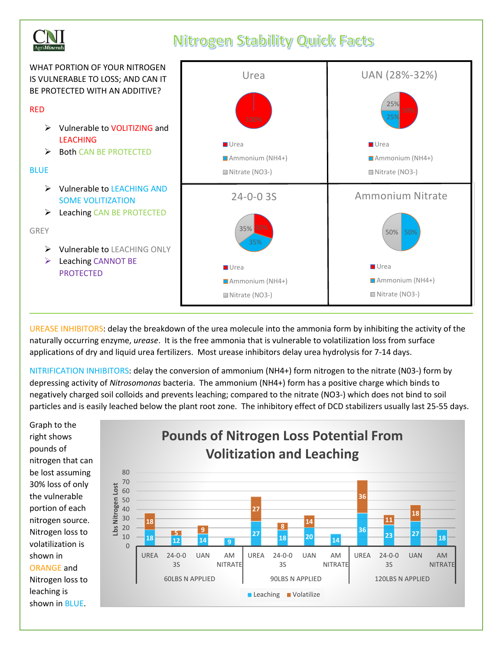

## **Nitrogen Stability Quick Facts**

WHAT PORTION OF YOUR NITROGEN IS VULNERABLE TO LOSS; AND CAN IT BE PROTECTED WITH AN ADDITIVE? RED ➢ Vulnerable to VOLITIZING and LEACHING ➢ Both CAN BE PROTECTED **BLUE** ➢ Vulnerable to LEACHING AND SOME VOLITIZATION ➢ Leaching CAN BE PROTECTED GREY ➢ Vulnerable to LEACHING ONLY ➢ Leaching CANNOT BE PROTECTED 25% 25% UAN (28%-32%) Urea Ammonium (NH4+) Nitrate (NO3-) 50% 50% Ammonium Nitrate **Urea** Ammonium (NH4+) Nitrate (NO3-) 35% 24-0-0 3S **Urea** Ammonium (NH4+) Nitrate (NO3-) Urea Urea Ammonium (NH4+) Nitrate (NO3-)

UREASE INHIBITORS: delay the breakdown of the urea molecule into the ammonia form by inhibiting the activity of the naturally occurring enzyme, *urease*. It is the free ammonia that is vulnerable to volatilization loss from surface applications of dry and liquid urea fertilizers. Most urease inhibitors delay urea hydrolysis for 7-14 days.

NITRIFICATION INHIBITORS: delay the conversion of ammonium (NH4+) form nitrogen to the nitrate (N03-) form by depressing activity of *Nitrosomonas* bacteria. The ammonium (NH4+) form has a positive charge which binds to negatively charged soil colloids and prevents leaching; compared to the nitrate (NO3-) which does not bind to soil particles and is easily leached below the plant root zone. The inhibitory effect of DCD stabilizers usually last 25-55 days.